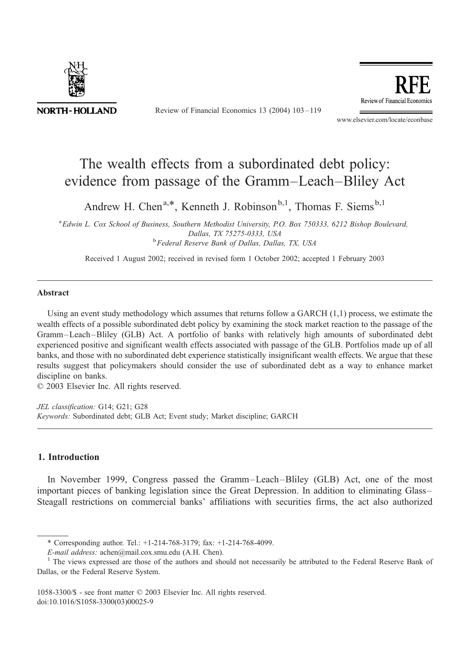

Review of Financial Economics 13 (2004) 103 – 119

Review of Financial Ec

www.elsevier.com/locate/econbase

## The wealth effects from a subordinated debt policy: evidence from passage of the Gramm–Leach–Bliley Act

Andrew H. Chen<sup>a,\*</sup>, Kenneth J. Robinson<sup>b,1</sup>, Thomas F. Siems<sup>b,1</sup>

<sup>a</sup> Edwin L. Cox School of Business, Southern Methodist University, P.O. Box 750333, 6212 Bishop Boulevard, Dallas, TX 75275-0333, USA<br><sup>b</sup> Federal Reserve Bank of Dallas, Dallas, TX, USA

Received 1 August 2002; received in revised form 1 October 2002; accepted 1 February 2003

## Abstract

Using an event study methodology which assumes that returns follow a GARCH  $(1,1)$  process, we estimate the wealth effects of a possible subordinated debt policy by examining the stock market reaction to the passage of the Gramm –Leach–Bliley (GLB) Act. A portfolio of banks with relatively high amounts of subordinated debt experienced positive and significant wealth effects associated with passage of the GLB. Portfolios made up of all banks, and those with no subordinated debt experience statistically insignificant wealth effects. We argue that these results suggest that policymakers should consider the use of subordinated debt as a way to enhance market discipline on banks.

 $\odot$  2003 Elsevier Inc. All rights reserved.

JEL classification: G14; G21; G28 Keywords: Subordinated debt; GLB Act; Event study; Market discipline; GARCH

## 1. Introduction

In November 1999, Congress passed the Gramm–Leach–Bliley (GLB) Act, one of the most important pieces of banking legislation since the Great Depression. In addition to eliminating Glass– Steagall restrictions on commercial banks' affiliations with securities firms, the act also authorized

<sup>\*</sup> Corresponding author. Tel.: +1-214-768-3179; fax: +1-214-768-4099.

E-mail address: achen@mail.cox.smu.edu (A.H. Chen).  $1$  The views expressed are those of the authors and should not necessarily be attributed to the Federal Reserve Bank of Dallas, or the Federal Reserve System.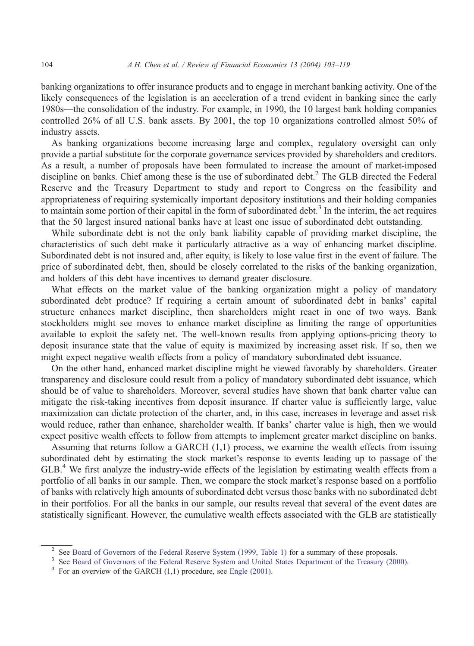banking organizations to offer insurance products and to engage in merchant banking activity. One of the likely consequences of the legislation is an acceleration of a trend evident in banking since the early 1980s—the consolidation of the industry. For example, in 1990, the 10 largest bank holding companies controlled 26% of all U.S. bank assets. By 2001, the top 10 organizations controlled almost 50% of industry assets.

As banking organizations become increasing large and complex, regulatory oversight can only provide a partial substitute for the corporate governance services provided by shareholders and creditors. As a result, a number of proposals have been formulated to increase the amount of market-imposed discipline on banks. Chief among these is the use of subordinated debt.<sup>2</sup> The GLB directed the Federal Reserve and the Treasury Department to study and report to Congress on the feasibility and appropriateness of requiring systemically important depository institutions and their holding companies to maintain some portion of their capital in the form of subordinated debt.<sup>3</sup> In the interim, the act requires that the 50 largest insured national banks have at least one issue of subordinated debt outstanding.

While subordinate debt is not the only bank liability capable of providing market discipline, the characteristics of such debt make it particularly attractive as a way of enhancing market discipline. Subordinated debt is not insured and, after equity, is likely to lose value first in the event of failure. The price of subordinated debt, then, should be closely correlated to the risks of the banking organization, and holders of this debt have incentives to demand greater disclosure.

What effects on the market value of the banking organization might a policy of mandatory subordinated debt produce? If requiring a certain amount of subordinated debt in banks' capital structure enhances market discipline, then shareholders might react in one of two ways. Bank stockholders might see moves to enhance market discipline as limiting the range of opportunities available to exploit the safety net. The well-known results from applying options-pricing theory to deposit insurance state that the value of equity is maximized by increasing asset risk. If so, then we might expect negative wealth effects from a policy of mandatory subordinated debt issuance.

On the other hand, enhanced market discipline might be viewed favorably by shareholders. Greater transparency and disclosure could result from a policy of mandatory subordinated debt issuance, which should be of value to shareholders. Moreover, several studies have shown that bank charter value can mitigate the risk-taking incentives from deposit insurance. If charter value is sufficiently large, value maximization can dictate protection of the charter, and, in this case, increases in leverage and asset risk would reduce, rather than enhance, shareholder wealth. If banks' charter value is high, then we would expect positive wealth effects to follow from attempts to implement greater market discipline on banks.

Assuming that returns follow a GARCH (1,1) process, we examine the wealth effects from issuing subordinated debt by estimating the stock market's response to events leading up to passage of the GLB.4 We first analyze the industry-wide effects of the legislation by estimating wealth effects from a portfolio of all banks in our sample. Then, we compare the stock market's response based on a portfolio of banks with relatively high amounts of subordinated debt versus those banks with no subordinated debt in their portfolios. For all the banks in our sample, our results reveal that several of the event dates are statistically significant. However, the cumulative wealth effects associated with the GLB are statistically

<sup>&</sup>lt;sup>2</sup> See [Board of Governors of the Federal Reserve System \(1999, Table 1\)](#page--1-0) for a summary of these proposals.<br><sup>3</sup> See [Board of Governors of the Federal Reserve System and United States Department of the Treasury \(2000\).](#page--1-0)<br><sup>4</sup>